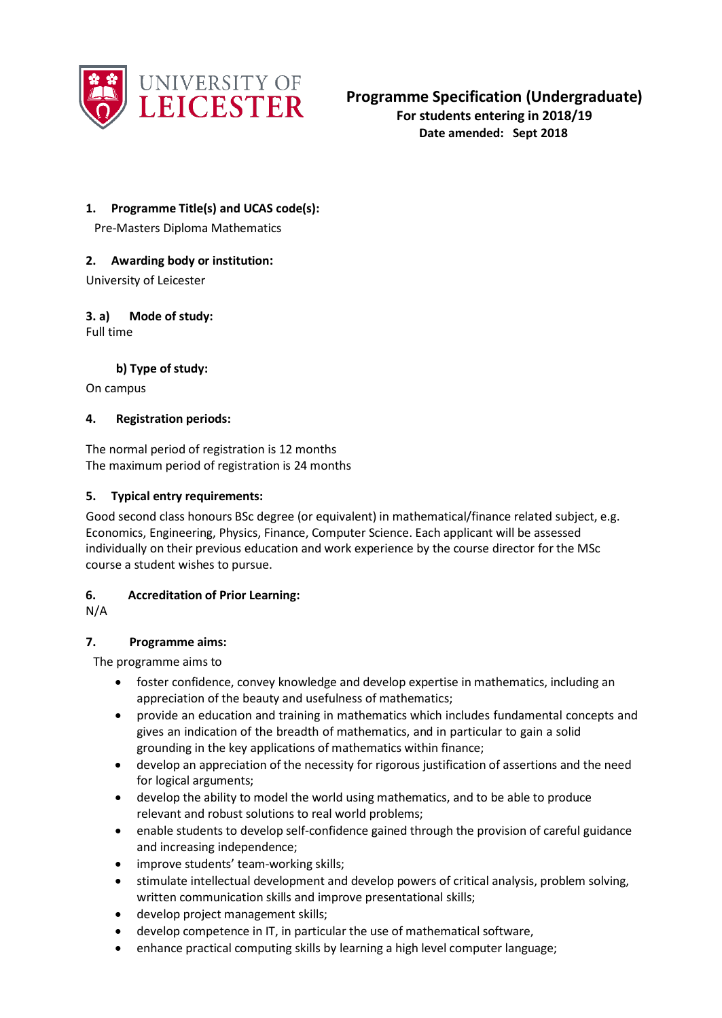

### **1. Programme Title(s) and UCAS code(s):**

Pre-Masters Diploma Mathematics

### **2. Awarding body or institution:**

University of Leicester

#### **3. a) Mode of study:** Full time

**b) Type of study:** 

On campus

### **4. Registration periods:**

The normal period of registration is 12 months The maximum period of registration is 24 months

### **5. Typical entry requirements:**

Good second class honours BSc degree (or equivalent) in mathematical/finance related subject, e.g. Economics, Engineering, Physics, Finance, Computer Science. Each applicant will be assessed individually on their previous education and work experience by the course director for the MSc course a student wishes to pursue.

### **6. Accreditation of Prior Learning:**

N/A

### **7. Programme aims:**

The programme aims to

- foster confidence, convey knowledge and develop expertise in mathematics, including an appreciation of the beauty and usefulness of mathematics;
- provide an education and training in mathematics which includes fundamental concepts and gives an indication of the breadth of mathematics, and in particular to gain a solid grounding in the key applications of mathematics within finance;
- develop an appreciation of the necessity for rigorous justification of assertions and the need for logical arguments;
- develop the ability to model the world using mathematics, and to be able to produce relevant and robust solutions to real world problems;
- enable students to develop self-confidence gained through the provision of careful guidance and increasing independence;
- improve students' team-working skills;
- stimulate intellectual development and develop powers of critical analysis, problem solving, written communication skills and improve presentational skills;
- develop project management skills;
- develop competence in IT, in particular the use of mathematical software,
- enhance practical computing skills by learning a high level computer language;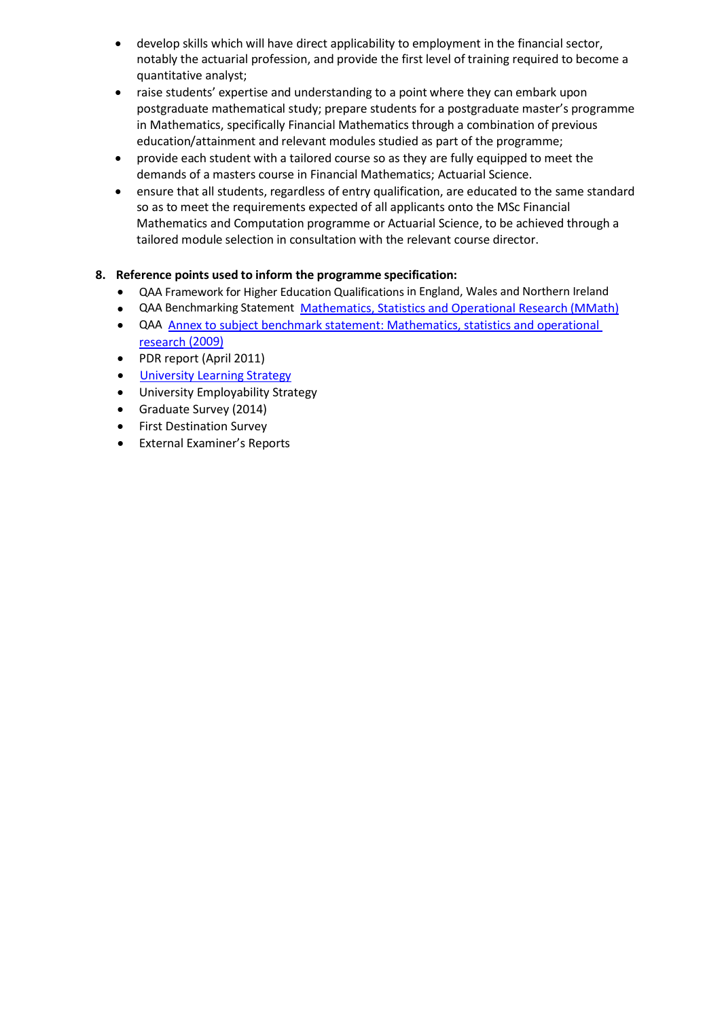- develop skills which will have direct applicability to employment in the financial sector, notably the actuarial profession, and provide the first level of training required to become a quantitative analyst;
- raise students' expertise and understanding to a point where they can embark upon postgraduate mathematical study; prepare students for a postgraduate master's programme in Mathematics, specifically Financial Mathematics through a combination of previous education/attainment and relevant modules studied as part of the programme;
- provide each student with a tailored course so as they are fully equipped to meet the demands of a masters course in Financial Mathematics; Actuarial Science.
- ensure that all students, regardless of entry qualification, are educated to the same standard so as to meet the requirements expected of all applicants onto the MSc Financial Mathematics and Computation programme or Actuarial Science, to be achieved through a tailored module selection in consultation with the relevant course director.

### **8. Reference points used to inform the programme specification:**

- QAA Framework for Higher Education Qualifications in England, Wales and Northern Ireland
- QAA Benchmarking Statement Mathematics, Statistics [and Operational Research](http://www.qaa.ac.uk/en/Publications/Documents/Subject-benchmark-statement-Mathematics-statistics-and-operational-research.pdf) (MMath)
- QAA Annex to subject benchmark statement: Mathematics, statistics [and operational](http://www.qaa.ac.uk/en/Publications/Documents/Annex-to-Subject-benchmark-statement-Mathematics-statistics-and-operational-research.pdf)  [research](http://www.qaa.ac.uk/en/Publications/Documents/Annex-to-Subject-benchmark-statement-Mathematics-statistics-and-operational-research.pdf) [\(2009\)](http://www.qaa.ac.uk/en/Publications/Documents/Annex-to-Subject-benchmark-statement-Mathematics-statistics-and-operational-research.pdf)
- PDR report (April 2011)
- **University [Learning Strategy](http://www2.le.ac.uk/offices/sas2/quality/learnteach)**
- University Employability Strategy
- Graduate Survey (2014)
- First Destination Survey
- External Examiner's Reports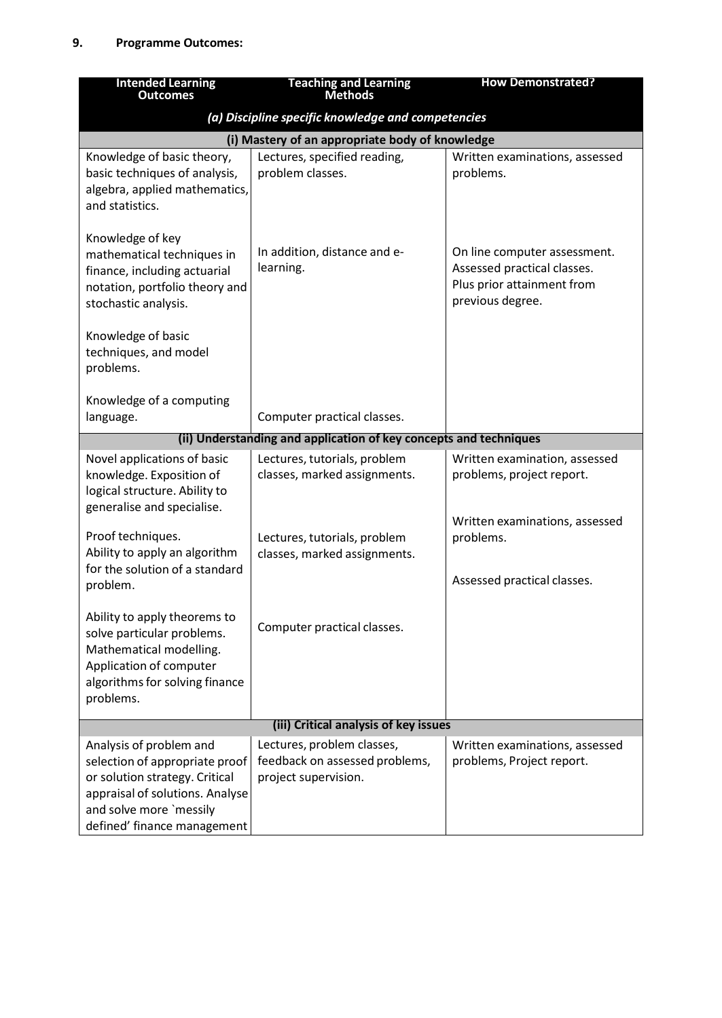| <b>Intended Learning</b><br><b>Outcomes</b>                                                                                                                                              | <b>Teaching and Learning</b><br><b>Methods</b>                                       | <b>How Demonstrated?</b>                                                                                      |  |
|------------------------------------------------------------------------------------------------------------------------------------------------------------------------------------------|--------------------------------------------------------------------------------------|---------------------------------------------------------------------------------------------------------------|--|
|                                                                                                                                                                                          | (a) Discipline specific knowledge and competencies                                   |                                                                                                               |  |
| (i) Mastery of an appropriate body of knowledge                                                                                                                                          |                                                                                      |                                                                                                               |  |
| Knowledge of basic theory,<br>basic techniques of analysis,<br>algebra, applied mathematics,<br>and statistics.                                                                          | Lectures, specified reading,<br>problem classes.                                     | Written examinations, assessed<br>problems.                                                                   |  |
| Knowledge of key<br>mathematical techniques in<br>finance, including actuarial<br>notation, portfolio theory and<br>stochastic analysis.                                                 | In addition, distance and e-<br>learning.                                            | On line computer assessment.<br>Assessed practical classes.<br>Plus prior attainment from<br>previous degree. |  |
| Knowledge of basic<br>techniques, and model<br>problems.                                                                                                                                 |                                                                                      |                                                                                                               |  |
| Knowledge of a computing<br>language.                                                                                                                                                    | Computer practical classes.                                                          |                                                                                                               |  |
|                                                                                                                                                                                          | (ii) Understanding and application of key concepts and techniques                    |                                                                                                               |  |
| Novel applications of basic<br>knowledge. Exposition of<br>logical structure. Ability to<br>generalise and specialise.                                                                   | Lectures, tutorials, problem<br>classes, marked assignments.                         | Written examination, assessed<br>problems, project report.                                                    |  |
| Proof techniques.<br>Ability to apply an algorithm<br>for the solution of a standard                                                                                                     | Lectures, tutorials, problem<br>classes, marked assignments.                         | Written examinations, assessed<br>problems.                                                                   |  |
| problem.                                                                                                                                                                                 |                                                                                      | Assessed practical classes.                                                                                   |  |
| Ability to apply theorems to<br>solve particular problems.<br>Mathematical modelling.<br>Application of computer<br>algorithms for solving finance<br>problems.                          | Computer practical classes.                                                          |                                                                                                               |  |
| (iii) Critical analysis of key issues                                                                                                                                                    |                                                                                      |                                                                                                               |  |
| Analysis of problem and<br>selection of appropriate proof<br>or solution strategy. Critical<br>appraisal of solutions. Analyse<br>and solve more `messily<br>defined' finance management | Lectures, problem classes,<br>feedback on assessed problems,<br>project supervision. | Written examinations, assessed<br>problems, Project report.                                                   |  |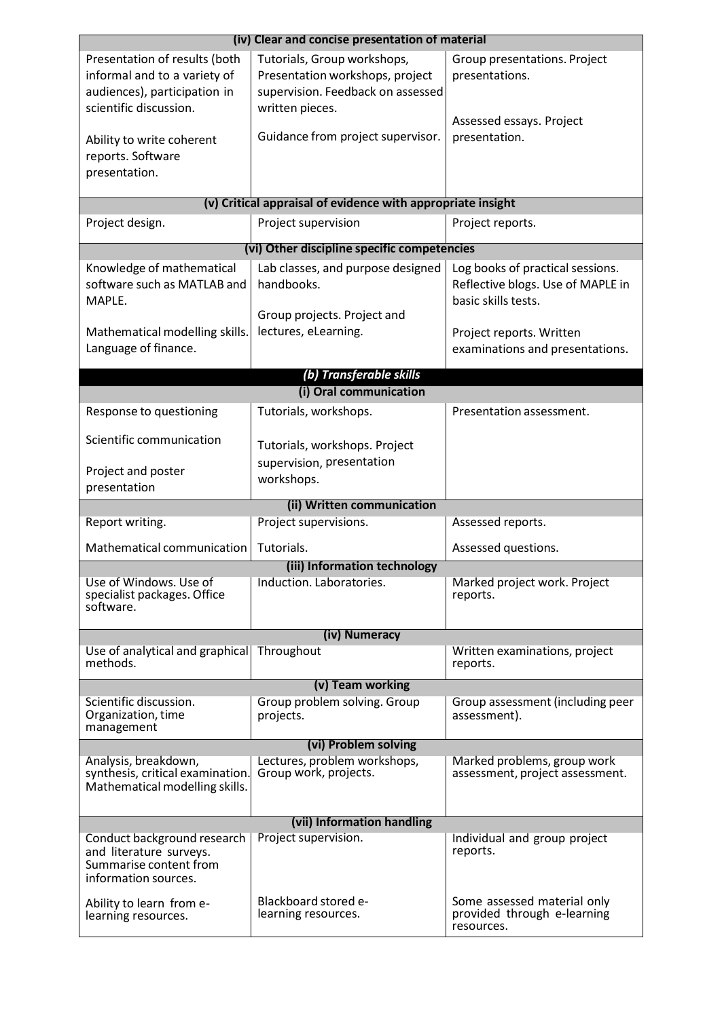| (iv) Clear and concise presentation of material                                                                         |                                                                                                                        |                                                                                              |  |  |  |
|-------------------------------------------------------------------------------------------------------------------------|------------------------------------------------------------------------------------------------------------------------|----------------------------------------------------------------------------------------------|--|--|--|
| Presentation of results (both<br>informal and to a variety of<br>audiences), participation in<br>scientific discussion. | Tutorials, Group workshops,<br>Presentation workshops, project<br>supervision. Feedback on assessed<br>written pieces. | Group presentations. Project<br>presentations.<br>Assessed essays. Project                   |  |  |  |
| Ability to write coherent<br>reports. Software<br>presentation.                                                         | Guidance from project supervisor.                                                                                      | presentation.                                                                                |  |  |  |
|                                                                                                                         | (v) Critical appraisal of evidence with appropriate insight                                                            |                                                                                              |  |  |  |
| Project design.                                                                                                         | Project supervision                                                                                                    | Project reports.                                                                             |  |  |  |
|                                                                                                                         | (vi) Other discipline specific competencies                                                                            |                                                                                              |  |  |  |
| Knowledge of mathematical<br>software such as MATLAB and<br>MAPLE.                                                      | Lab classes, and purpose designed<br>handbooks.                                                                        | Log books of practical sessions.<br>Reflective blogs. Use of MAPLE in<br>basic skills tests. |  |  |  |
| Mathematical modelling skills.<br>Language of finance.                                                                  | Group projects. Project and<br>lectures, eLearning.                                                                    | Project reports. Written<br>examinations and presentations.                                  |  |  |  |
|                                                                                                                         | (b) Transferable skills                                                                                                |                                                                                              |  |  |  |
|                                                                                                                         | (i) Oral communication                                                                                                 |                                                                                              |  |  |  |
| Response to questioning                                                                                                 | Tutorials, workshops.                                                                                                  | Presentation assessment.                                                                     |  |  |  |
| Scientific communication                                                                                                | Tutorials, workshops. Project<br>supervision, presentation                                                             |                                                                                              |  |  |  |
| Project and poster<br>presentation                                                                                      | workshops.                                                                                                             |                                                                                              |  |  |  |
| (ii) Written communication                                                                                              |                                                                                                                        |                                                                                              |  |  |  |
| Report writing.                                                                                                         | Project supervisions.                                                                                                  | Assessed reports.                                                                            |  |  |  |
| Mathematical communication                                                                                              | Tutorials.                                                                                                             | Assessed questions.                                                                          |  |  |  |
|                                                                                                                         | (iii) Information technology                                                                                           |                                                                                              |  |  |  |
| Use of Windows. Use of<br>specialist packages. Office<br>software.                                                      | Induction. Laboratories.                                                                                               | Marked project work. Project<br>reports.                                                     |  |  |  |
|                                                                                                                         | (iv) Numeracy                                                                                                          |                                                                                              |  |  |  |
| Use of analytical and graphical<br>methods.                                                                             | Throughout                                                                                                             | Written examinations, project<br>reports.                                                    |  |  |  |
|                                                                                                                         | (v) Team working                                                                                                       |                                                                                              |  |  |  |
| Scientific discussion.<br>Organization, time<br>management                                                              | Group problem solving. Group<br>projects.                                                                              | Group assessment (including peer<br>assessment).                                             |  |  |  |
|                                                                                                                         | (vi) Problem solving                                                                                                   |                                                                                              |  |  |  |
| Analysis, breakdown,<br>synthesis, critical examination.<br>Mathematical modelling skills.                              | Lectures, problem workshops,<br>Group work, projects.                                                                  | Marked problems, group work<br>assessment, project assessment.                               |  |  |  |
|                                                                                                                         | (vii) Information handling                                                                                             |                                                                                              |  |  |  |
| Conduct background research<br>and literature surveys.<br>Summarise content from<br>information sources.                | Project supervision.                                                                                                   | Individual and group project<br>reports.                                                     |  |  |  |
| Ability to learn from e-<br>learning resources.                                                                         | Blackboard stored e-<br>learning resources.                                                                            | Some assessed material only<br>provided through e-learning<br>resources.                     |  |  |  |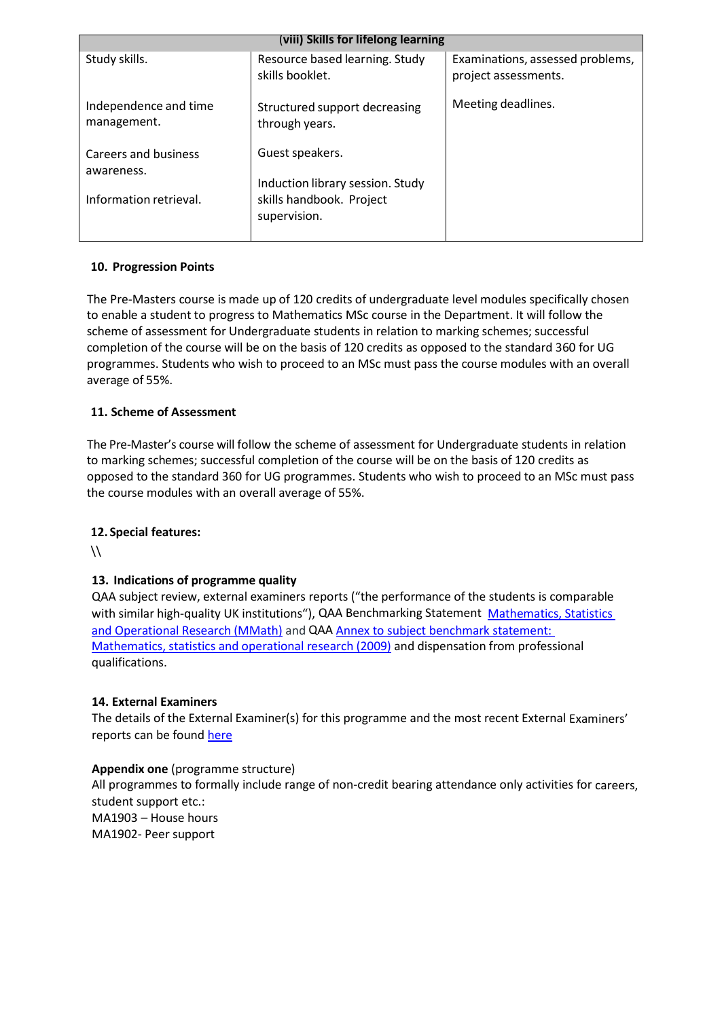| (viii) Skills for lifelong learning  |                                                     |                                                          |  |
|--------------------------------------|-----------------------------------------------------|----------------------------------------------------------|--|
| Study skills.                        | Resource based learning. Study<br>skills booklet.   | Examinations, assessed problems,<br>project assessments. |  |
| Independence and time<br>management. | Structured support decreasing<br>through years.     | Meeting deadlines.                                       |  |
| Careers and business<br>awareness.   | Guest speakers.<br>Induction library session. Study |                                                          |  |
| Information retrieval.               | skills handbook. Project<br>supervision.            |                                                          |  |

### **10. Progression Points**

The Pre-Masters course is made up of 120 credits of undergraduate level modules specifically chosen to enable a student to progress to Mathematics MSc course in the Department. It will follow the scheme of assessment for Undergraduate students in relation to marking schemes; successful completion of the course will be on the basis of 120 credits as opposed to the standard 360 for UG programmes. Students who wish to proceed to an MSc must pass the course modules with an overall average of 55%.

### **11. Scheme of Assessment**

The Pre-Master's course will follow the scheme of assessment for Undergraduate students in relation to marking schemes; successful completion of the course will be on the basis of 120 credits as opposed to the standard 360 for UG programmes. Students who wish to proceed to an MSc must pass the course modules with an overall average of 55%.

### **12. Special features:**

 $\mathcal{N}$ 

### **13. Indications of programme quality**

QAA subject review, external examiners reports ("the performance of the students is comparable with similar high-quality UK institutions"), QAA Benchmarking Statement [Mathematics,](http://www.qaa.ac.uk/en/Publications/Documents/Subject-benchmark-statement-Mathematics-statistics-and-operational-research.pdf) Statistics [and Operational Research](http://www.qaa.ac.uk/en/Publications/Documents/Subject-benchmark-statement-Mathematics-statistics-and-operational-research.pdf) (MMath) and QAA Annex to subject [benchmark](http://www.qaa.ac.uk/en/Publications/Documents/Annex-to-Subject-benchmark-statement-Mathematics-statistics-and-operational-research.pdf) statement: Mathematics, statistics and [operational research](http://www.qaa.ac.uk/en/Publications/Documents/Annex-to-Subject-benchmark-statement-Mathematics-statistics-and-operational-research.pdf) (2009) and dispensation from professional qualifications.

### **14. External Examiners**

The details of the External Examiner(s) for this programme and the most recent External Examiners' reports can be foun[d here](https://exampapers.le.ac.uk/xmlui/handle/123456789/169)

### **Appendix one** (programme structure)

All programmes to formally include range of non-credit bearing attendance only activities for careers, student support etc.: MA1903 – House hours MA1902- Peer support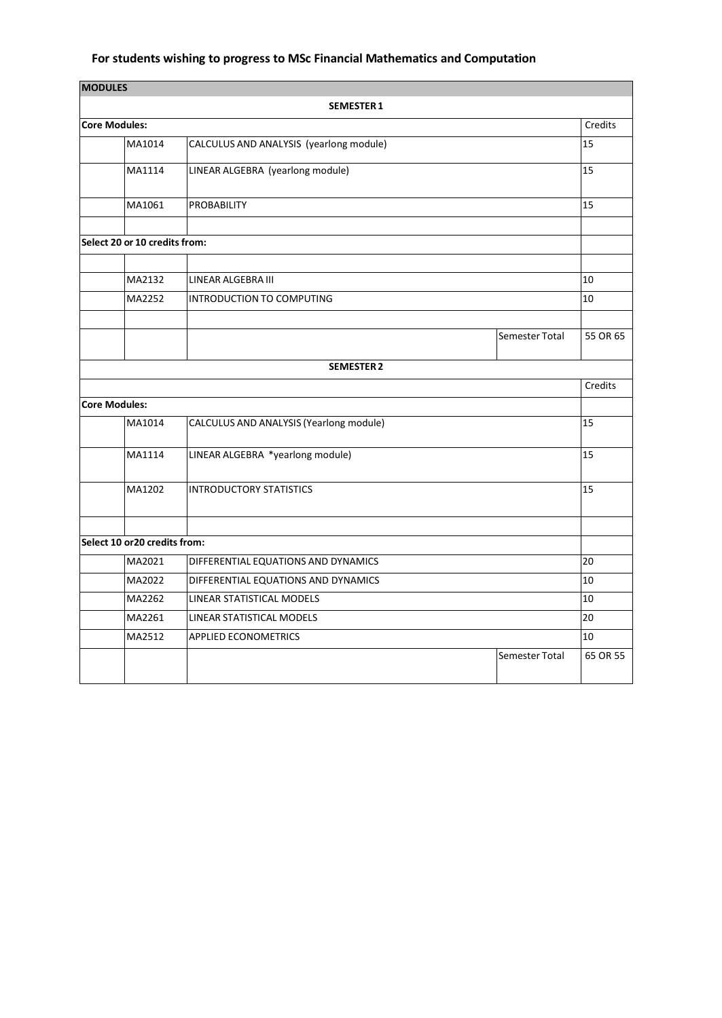# **For students wishing to progress to MSc Financial Mathematics and Computation**

| <b>MODULES</b> |                                                   |                                         |                |                 |
|----------------|---------------------------------------------------|-----------------------------------------|----------------|-----------------|
|                |                                                   | <b>SEMESTER 1</b>                       |                |                 |
|                | <b>Core Modules:</b>                              |                                         |                | Credits         |
|                | MA1014<br>CALCULUS AND ANALYSIS (yearlong module) |                                         | 15             |                 |
|                | MA1114                                            | LINEAR ALGEBRA (yearlong module)        |                | 15              |
|                | MA1061                                            | <b>PROBABILITY</b>                      |                | 15              |
|                |                                                   |                                         |                |                 |
|                | Select 20 or 10 credits from:                     |                                         |                |                 |
|                |                                                   |                                         |                |                 |
|                | MA2132                                            | LINEAR ALGEBRA III                      |                | 10              |
|                | MA2252                                            | <b>INTRODUCTION TO COMPUTING</b>        |                | 10              |
|                |                                                   |                                         |                |                 |
|                |                                                   |                                         | Semester Total | 55 OR 65        |
|                |                                                   | <b>SEMESTER 2</b>                       |                |                 |
|                |                                                   |                                         |                | Credits         |
|                | <b>Core Modules:</b>                              |                                         |                |                 |
|                | MA1014                                            | CALCULUS AND ANALYSIS (Yearlong module) |                | $\overline{15}$ |
|                | MA1114                                            | LINEAR ALGEBRA *yearlong module)        |                | 15              |
|                | MA1202                                            | <b>INTRODUCTORY STATISTICS</b>          |                | 15              |
|                |                                                   |                                         |                |                 |
|                | Select 10 or 20 credits from:                     |                                         |                |                 |
|                | MA2021                                            | DIFFERENTIAL EQUATIONS AND DYNAMICS     |                | 20              |
|                | MA2022                                            | DIFFERENTIAL EQUATIONS AND DYNAMICS     |                | 10              |
|                | MA2262                                            | LINEAR STATISTICAL MODELS               |                | 10              |
|                | MA2261                                            | LINEAR STATISTICAL MODELS               |                | 20              |
|                | MA2512                                            | <b>APPLIED ECONOMETRICS</b>             |                | 10              |
|                |                                                   |                                         | Semester Total | 65 OR 55        |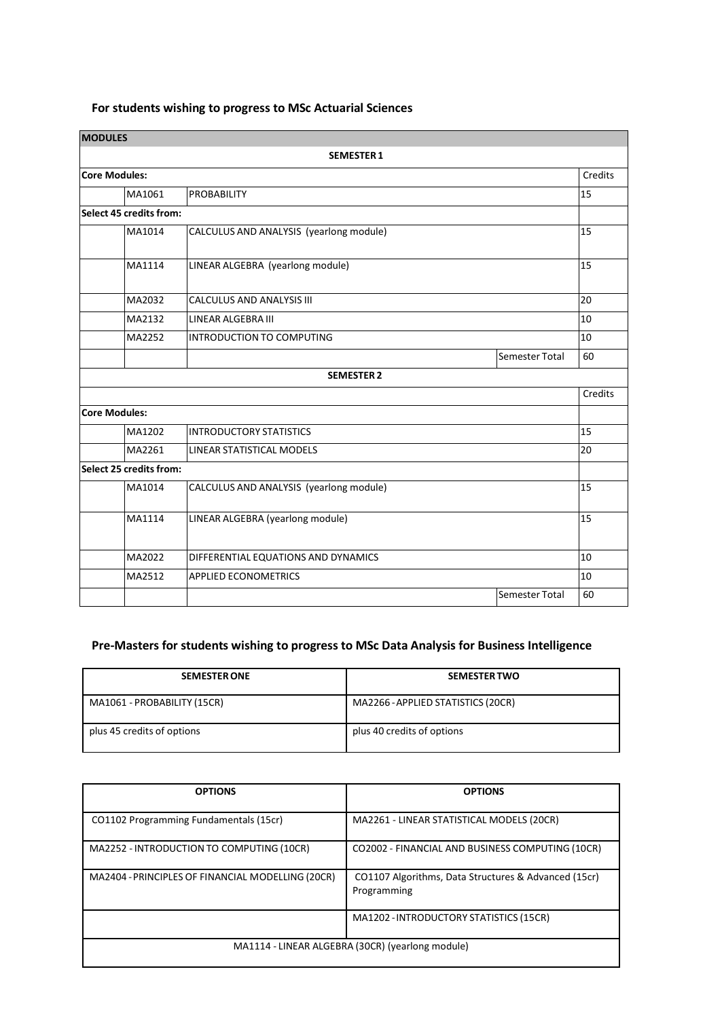# **For students wishing to progress to MSc Actuarial Sciences**

| <b>MODULES</b>       |                                |                                         |                |         |
|----------------------|--------------------------------|-----------------------------------------|----------------|---------|
|                      |                                | <b>SEMESTER 1</b>                       |                |         |
| <b>Core Modules:</b> |                                |                                         |                | Credits |
|                      | MA1061                         | <b>PROBABILITY</b>                      |                | 15      |
|                      | <b>Select 45 credits from:</b> |                                         |                |         |
|                      | MA1014                         | CALCULUS AND ANALYSIS (yearlong module) |                | 15      |
|                      | MA1114                         | LINEAR ALGEBRA (yearlong module)        |                | 15      |
|                      | MA2032                         | CALCULUS AND ANALYSIS III               |                | 20      |
|                      | MA2132                         | <b>LINEAR ALGEBRA III</b>               |                | 10      |
|                      | MA2252                         | INTRODUCTION TO COMPUTING               |                | 10      |
|                      |                                |                                         | Semester Total | 60      |
|                      |                                | <b>SEMESTER 2</b>                       |                |         |
|                      |                                |                                         |                | Credits |
| <b>Core Modules:</b> |                                |                                         |                |         |
|                      | MA1202                         | <b>INTRODUCTORY STATISTICS</b>          |                | 15      |
|                      | MA2261                         | LINEAR STATISTICAL MODELS               |                | 20      |
|                      | Select 25 credits from:        |                                         |                |         |
|                      | MA1014                         | CALCULUS AND ANALYSIS (yearlong module) |                | 15      |
|                      | MA1114                         | LINEAR ALGEBRA (yearlong module)        |                | 15      |
|                      | MA2022                         | DIFFERENTIAL EQUATIONS AND DYNAMICS     |                | 10      |
|                      | MA2512                         | <b>APPLIED ECONOMETRICS</b>             |                | 10      |
|                      |                                |                                         | Semester Total | 60      |

# **Pre-Masters for students wishing to progress to MSc Data Analysis for Business Intelligence**

| <b>SEMESTER ONE</b>         | <b>SEMESTER TWO</b>                |
|-----------------------------|------------------------------------|
| MA1061 - PROBABILITY (15CR) | MA2266 - APPLIED STATISTICS (20CR) |
| plus 45 credits of options  | plus 40 credits of options         |

| <b>OPTIONS</b>                                    | <b>OPTIONS</b>                                                      |  |
|---------------------------------------------------|---------------------------------------------------------------------|--|
| CO1102 Programming Fundamentals (15cr)            | MA2261 - LINEAR STATISTICAL MODELS (20CR)                           |  |
| MA2252 - INTRODUCTION TO COMPUTING (10CR)         | CO2002 - FINANCIAL AND BUSINESS COMPUTING (10CR)                    |  |
| MA2404 - PRINCIPLES OF FINANCIAL MODELLING (20CR) | CO1107 Algorithms, Data Structures & Advanced (15cr)<br>Programming |  |
|                                                   | MA1202 - INTRODUCTORY STATISTICS (15CR)                             |  |
| MA1114 - LINEAR ALGEBRA (30CR) (yearlong module)  |                                                                     |  |